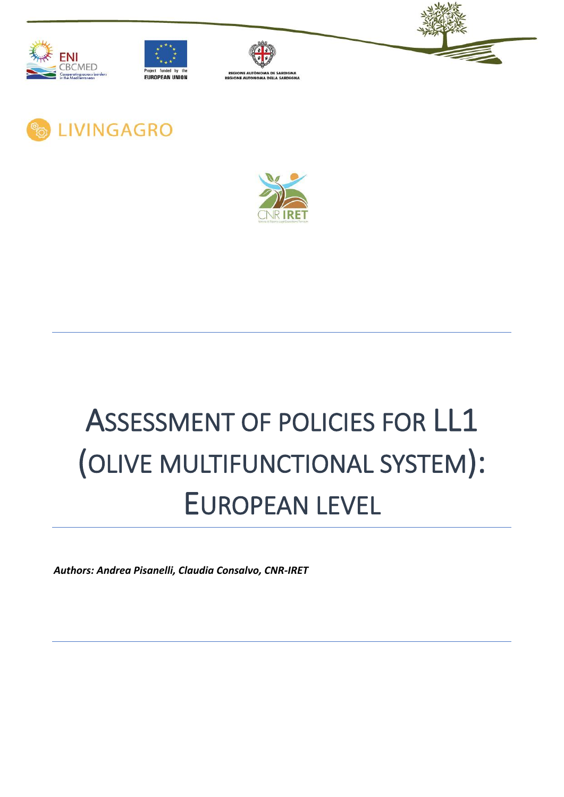











# ASSESSMENT OF POLICIES FOR LL1 (OLIVE MULTIFUNCTIONAL SYSTEM): EUROPEAN LEVEL

*Authors: Andrea Pisanelli, Claudia Consalvo, CNR-IRET*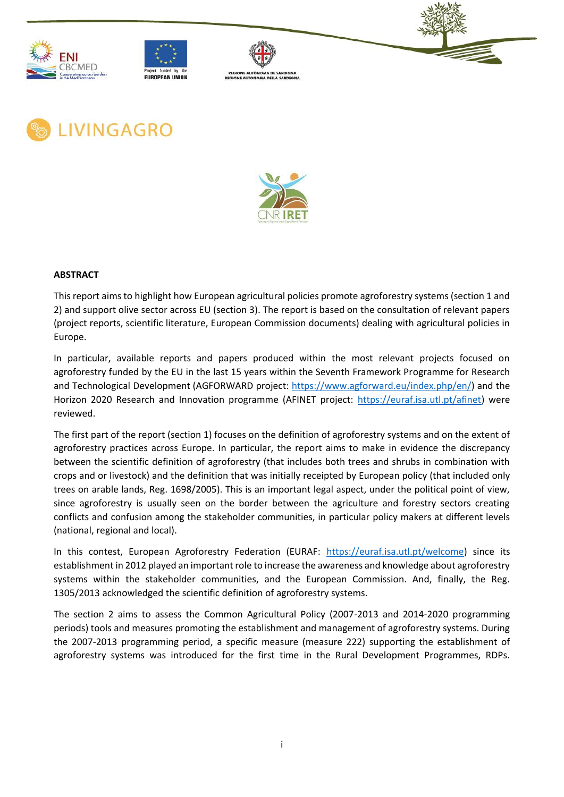











#### **ABSTRACT**

This report aims to highlight how European agricultural policies promote agroforestry systems (section 1 and 2) and support olive sector across EU (section 3). The report is based on the consultation of relevant papers (project reports, scientific literature, European Commission documents) dealing with agricultural policies in Europe.

In particular, available reports and papers produced within the most relevant projects focused on agroforestry funded by the EU in the last 15 years within the Seventh Framework Programme for Research and Technological Development (AGFORWARD project: [https://www.agforward.eu/index.php/en/\)](https://www.agforward.eu/index.php/en/) and the Horizon 2020 Research and Innovation programme (AFINET project: [https://euraf.isa.utl.pt/afinet\)](https://euraf.isa.utl.pt/afinet) were reviewed.

The first part of the report (section 1) focuses on the definition of agroforestry systems and on the extent of agroforestry practices across Europe. In particular, the report aims to make in evidence the discrepancy between the scientific definition of agroforestry (that includes both trees and shrubs in combination with crops and or livestock) and the definition that was initially receipted by European policy (that included only trees on arable lands, Reg. 1698/2005). This is an important legal aspect, under the political point of view, since agroforestry is usually seen on the border between the agriculture and forestry sectors creating conflicts and confusion among the stakeholder communities, in particular policy makers at different levels (national, regional and local).

In this contest, European Agroforestry Federation (EURAF: [https://euraf.isa.utl.pt/welcome\)](https://euraf.isa.utl.pt/welcome) since its establishment in 2012 played an important role to increase the awareness and knowledge about agroforestry systems within the stakeholder communities, and the European Commission. And, finally, the Reg. 1305/2013 acknowledged the scientific definition of agroforestry systems.

The section 2 aims to assess the Common Agricultural Policy (2007-2013 and 2014-2020 programming periods) tools and measures promoting the establishment and management of agroforestry systems. During the 2007-2013 programming period, a specific measure (measure 222) supporting the establishment of agroforestry systems was introduced for the first time in the Rural Development Programmes, RDPs.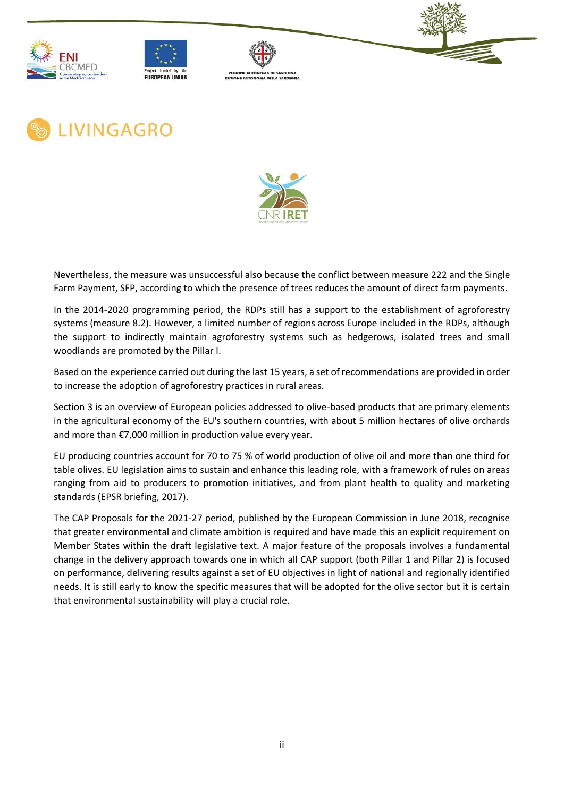











Nevertheless, the measure was unsuccessful also because the conflict between measure 222 and the Single Farm Payment, SFP, according to which the presence of trees reduces the amount of direct farm payments.

In the 2014-2020 programming period, the RDPs still has a support to the establishment of agroforestry systems (measure 8.2). However, a limited number of regions across Europe included in the RDPs, although the support to indirectly maintain agroforestry systems such as hedgerows, isolated trees and small woodlands are promoted by the Pillar I.

Based on the experience carried out during the last 15 years, a set of recommendations are provided in order to increase the adoption of agroforestry practices in rural areas.

Section 3 is an overview of European policies addressed to olive-based products that are primary elements in the agricultural economy of the EU's southern countries, with about 5 million hectares of olive orchards and more than €7,000 million in production value every year.

EU producing countries account for 70 to 75 % of world production of olive oil and more than one third for table olives. EU legislation aims to sustain and enhance this leading role, with a framework of rules on areas ranging from aid to producers to promotion initiatives, and from plant health to quality and marketing standards (EPSR briefing, 2017).

The CAP Proposals for the 2021-27 period, published by the European Commission in June 2018, recognise that greater environmental and climate ambition is required and have made this an explicit requirement on Member States within the draft legislative text. A major feature of the proposals involves a fundamental change in the delivery approach towards one in which all CAP support (both Pillar 1 and Pillar 2) is focused on performance, delivering results against a set of EU objectives in light of national and regionally identified needs. It is still early to know the specific measures that will be adopted for the olive sector but it is certain that environmental sustainability will play a crucial role.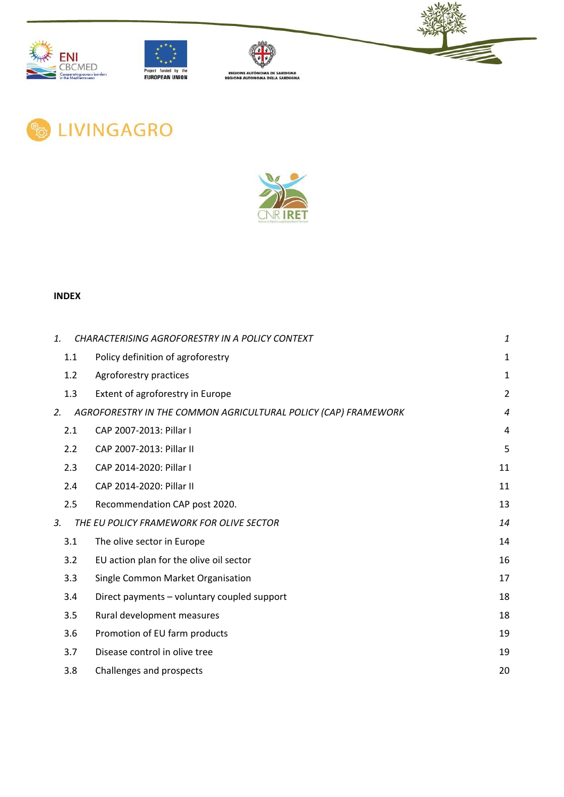











## **INDEX**

| $\mathbf{1}$ |     | CHARACTERISING AGROFORESTRY IN A POLICY CONTEXT                | 1                |
|--------------|-----|----------------------------------------------------------------|------------------|
|              | 1.1 | Policy definition of agroforestry                              | $\mathbf{1}$     |
|              | 1.2 | Agroforestry practices                                         | $\mathbf{1}$     |
|              | 1.3 | Extent of agroforestry in Europe                               | $\overline{2}$   |
| 2.           |     | AGROFORESTRY IN THE COMMON AGRICULTURAL POLICY (CAP) FRAMEWORK | $\boldsymbol{4}$ |
|              | 2.1 | CAP 2007-2013: Pillar I                                        | 4                |
|              | 2.2 | CAP 2007-2013: Pillar II                                       | 5                |
|              | 2.3 | CAP 2014-2020: Pillar I                                        | 11               |
|              | 2.4 | CAP 2014-2020: Pillar II                                       | 11               |
|              | 2.5 | Recommendation CAP post 2020.                                  | 13               |
| 3.           |     | THE EU POLICY FRAMEWORK FOR OLIVE SECTOR                       | 14               |
|              | 3.1 | The olive sector in Europe                                     | 14               |
|              | 3.2 | EU action plan for the olive oil sector                        | 16               |
|              | 3.3 | Single Common Market Organisation                              | 17               |
|              | 3.4 | Direct payments - voluntary coupled support                    | 18               |
|              | 3.5 | Rural development measures                                     | 18               |
|              | 3.6 | Promotion of EU farm products                                  | 19               |
|              | 3.7 | Disease control in olive tree                                  | 19               |
|              | 3.8 | Challenges and prospects                                       | 20               |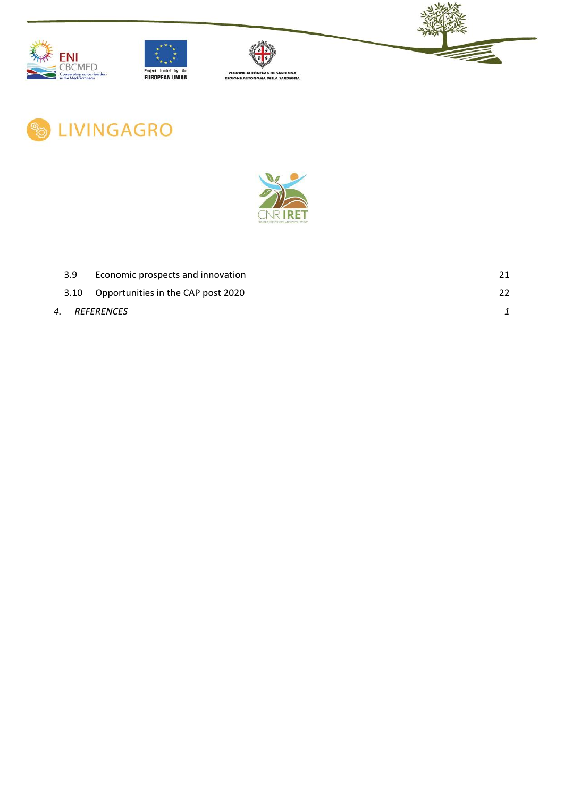











| 3.9 | Economic prospects and innovation       |    |
|-----|-----------------------------------------|----|
|     | 3.10 Opportunities in the CAP post 2020 | 22 |
|     | 4. REFERENCES                           |    |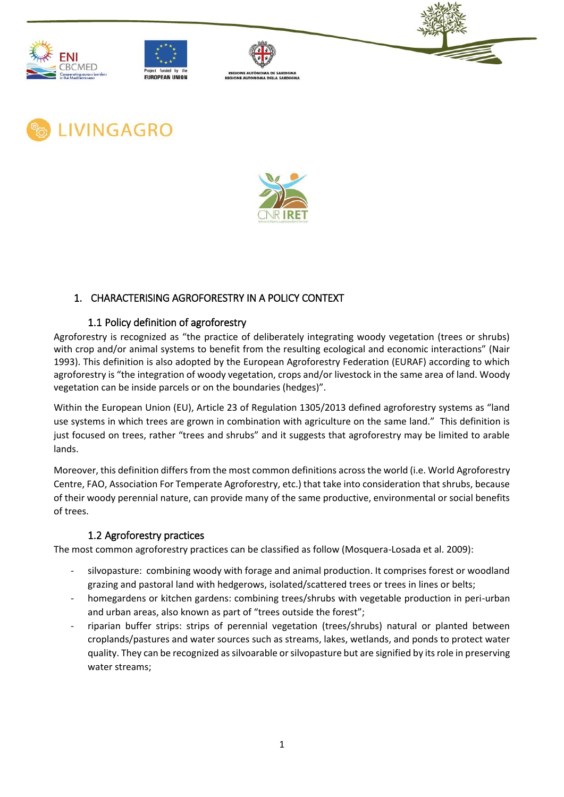











## <span id="page-5-0"></span>1. CHARACTERISING AGROFORESTRY IN A POLICY CONTEXT

## 1.1 Policy definition of agroforestry

<span id="page-5-1"></span>Agroforestry is recognized as "the practice of deliberately integrating woody vegetation (trees or shrubs) with crop and/or animal systems to benefit from the resulting ecological and economic interactions" (Nair 1993). This definition is also adopted by the European Agroforestry Federation (EURAF) according to which agroforestry is "the integration of woody vegetation, crops and/or livestock in the same area of land. Woody vegetation can be inside parcels or on the boundaries (hedges)".

Within the European Union (EU), Article 23 of Regulation 1305/2013 defined agroforestry systems as "land use systems in which trees are grown in combination with agriculture on the same land." This definition is just focused on trees, rather "trees and shrubs" and it suggests that agroforestry may be limited to arable lands.

Moreover, this definition differs from the most common definitions across the world (i.e. World Agroforestry Centre, FAO, Association For Temperate Agroforestry, etc.) that take into consideration that shrubs, because of their woody perennial nature, can provide many of the same productive, environmental or social benefits of trees.

## 1.2 Agroforestry practices

<span id="page-5-2"></span>The most common agroforestry practices can be classified as follow (Mosquera-Losada et al. 2009):

- silvopasture: combining woody with forage and animal production. It comprises forest or woodland grazing and pastoral land with hedgerows, isolated/scattered trees or trees in lines or belts;
- homegardens or kitchen gardens: combining trees/shrubs with vegetable production in peri-urban and urban areas, also known as part of "trees outside the forest";
- riparian buffer strips: strips of perennial vegetation (trees/shrubs) natural or planted between croplands/pastures and water sources such as streams, lakes, wetlands, and ponds to protect water quality. They can be recognized as silvoarable or silvopasture but are signified by its role in preserving water streams;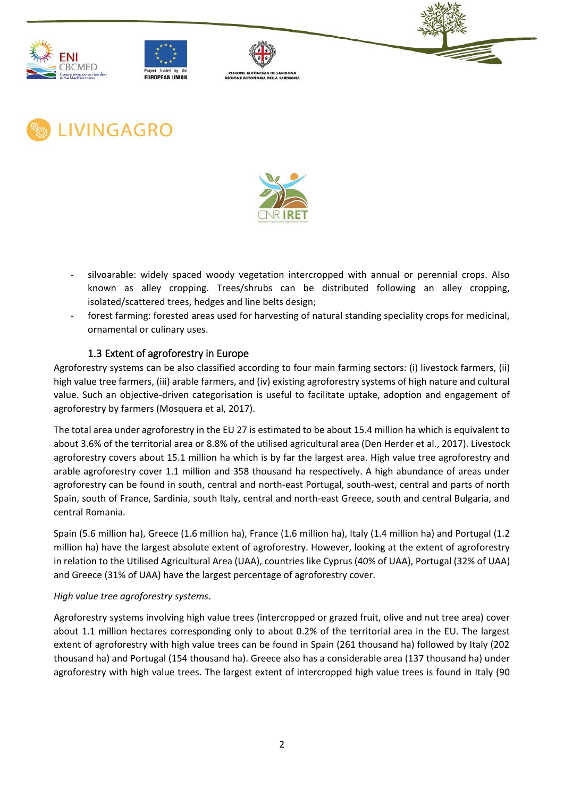











- silvoarable: widely spaced woody vegetation intercropped with annual or perennial crops. Also known as alley cropping. Trees/shrubs can be distributed following an alley cropping, isolated/scattered trees, hedges and line belts design;
- forest farming: forested areas used for harvesting of natural standing speciality crops for medicinal, ornamental or culinary uses.

# 1.3 Extent of agroforestry in Europe

<span id="page-6-0"></span>Agroforestry systems can be also classified according to four main farming sectors: (i) livestock farmers, (ii) high value tree farmers, (iii) arable farmers, and (iv) existing agroforestry systems of high nature and cultural value. Such an objective-driven categorisation is useful to facilitate uptake, adoption and engagement of agroforestry by farmers (Mosquera et al, 2017).

The total area under agroforestry in the EU 27 is estimated to be about 15.4 million ha which is equivalent to about 3.6% of the territorial area or 8.8% of the utilised agricultural area (Den Herder et al., 2017). Livestock agroforestry covers about 15.1 million ha which is by far the largest area. High value tree agroforestry and arable agroforestry cover 1.1 million and 358 thousand ha respectively. A high abundance of areas under agroforestry can be found in south, central and north-east Portugal, south-west, central and parts of north Spain, south of France, Sardinia, south Italy, central and north-east Greece, south and central Bulgaria, and central Romania.

Spain (5.6 million ha), Greece (1.6 million ha), France (1.6 million ha), Italy (1.4 million ha) and Portugal (1.2 million ha) have the largest absolute extent of agroforestry. However, looking at the extent of agroforestry in relation to the Utilised Agricultural Area (UAA), countries like Cyprus (40% of UAA), Portugal (32% of UAA) and Greece (31% of UAA) have the largest percentage of agroforestry cover.

#### *High value tree agroforestry systems*.

Agroforestry systems involving high value trees (intercropped or grazed fruit, olive and nut tree area) cover about 1.1 million hectares corresponding only to about 0.2% of the territorial area in the EU. The largest extent of agroforestry with high value trees can be found in Spain (261 thousand ha) followed by Italy (202 thousand ha) and Portugal (154 thousand ha). Greece also has a considerable area (137 thousand ha) under agroforestry with high value trees. The largest extent of intercropped high value trees is found in Italy (90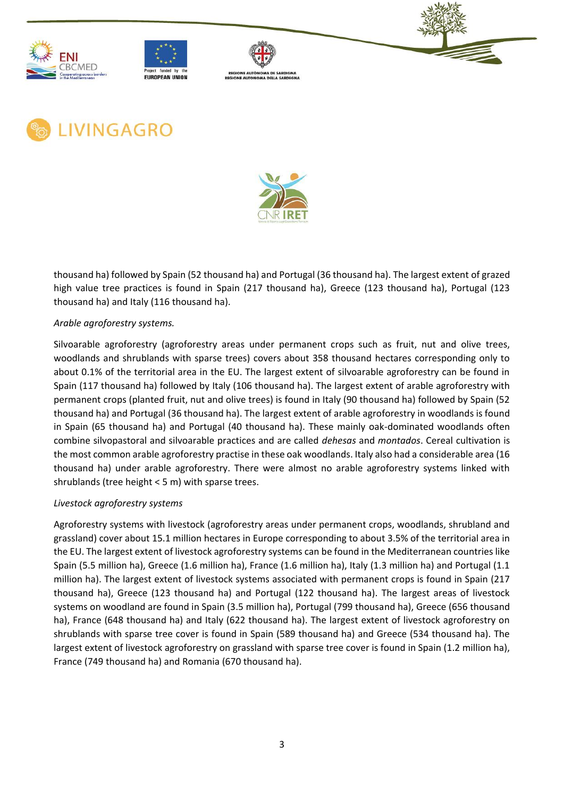











thousand ha) followed by Spain (52 thousand ha) and Portugal (36 thousand ha). The largest extent of grazed high value tree practices is found in Spain (217 thousand ha), Greece (123 thousand ha), Portugal (123 thousand ha) and Italy (116 thousand ha).

#### *Arable agroforestry systems.*

Silvoarable agroforestry (agroforestry areas under permanent crops such as fruit, nut and olive trees, woodlands and shrublands with sparse trees) covers about 358 thousand hectares corresponding only to about 0.1% of the territorial area in the EU. The largest extent of silvoarable agroforestry can be found in Spain (117 thousand ha) followed by Italy (106 thousand ha). The largest extent of arable agroforestry with permanent crops (planted fruit, nut and olive trees) is found in Italy (90 thousand ha) followed by Spain (52 thousand ha) and Portugal (36 thousand ha). The largest extent of arable agroforestry in woodlands is found in Spain (65 thousand ha) and Portugal (40 thousand ha). These mainly oak-dominated woodlands often combine silvopastoral and silvoarable practices and are called *dehesas* and *montados*. Cereal cultivation is the most common arable agroforestry practise in these oak woodlands. Italy also had a considerable area (16 thousand ha) under arable agroforestry. There were almost no arable agroforestry systems linked with shrublands (tree height < 5 m) with sparse trees.

#### *Livestock agroforestry systems*

Agroforestry systems with livestock (agroforestry areas under permanent crops, woodlands, shrubland and grassland) cover about 15.1 million hectares in Europe corresponding to about 3.5% of the territorial area in the EU. The largest extent of livestock agroforestry systems can be found in the Mediterranean countries like Spain (5.5 million ha), Greece (1.6 million ha), France (1.6 million ha), Italy (1.3 million ha) and Portugal (1.1 million ha). The largest extent of livestock systems associated with permanent crops is found in Spain (217 thousand ha), Greece (123 thousand ha) and Portugal (122 thousand ha). The largest areas of livestock systems on woodland are found in Spain (3.5 million ha), Portugal (799 thousand ha), Greece (656 thousand ha), France (648 thousand ha) and Italy (622 thousand ha). The largest extent of livestock agroforestry on shrublands with sparse tree cover is found in Spain (589 thousand ha) and Greece (534 thousand ha). The largest extent of livestock agroforestry on grassland with sparse tree cover is found in Spain (1.2 million ha), France (749 thousand ha) and Romania (670 thousand ha).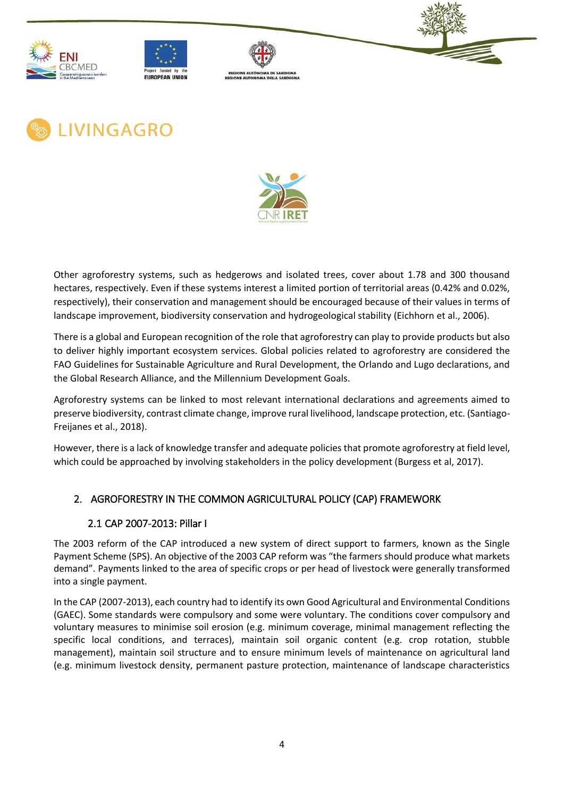











Other agroforestry systems, such as hedgerows and isolated trees, cover about 1.78 and 300 thousand hectares, respectively. Even if these systems interest a limited portion of territorial areas (0.42% and 0.02%, respectively), their conservation and management should be encouraged because of their values in terms of landscape improvement, biodiversity conservation and hydrogeological stability (Eichhorn et al., 2006).

There is a global and European recognition of the role that agroforestry can play to provide products but also to deliver highly important ecosystem services. Global policies related to agroforestry are considered the FAO Guidelines for Sustainable Agriculture and Rural Development, the Orlando and Lugo declarations, and the Global Research Alliance, and the Millennium Development Goals.

Agroforestry systems can be linked to most relevant international declarations and agreements aimed to preserve biodiversity, contrast climate change, improve rural livelihood, landscape protection, etc. (Santiago-Freijanes et al., 2018).

However, there is a lack of knowledge transfer and adequate policies that promote agroforestry at field level, which could be approached by involving stakeholders in the policy development (Burgess et al, 2017).

# <span id="page-8-1"></span><span id="page-8-0"></span>2. AGROFORESTRY IN THE COMMON AGRICULTURAL POLICY (CAP) FRAMEWORK

## 2.1 CAP 2007-2013: Pillar I

The 2003 reform of the CAP introduced a new system of direct support to farmers, known as the Single Payment Scheme (SPS). An objective of the 2003 CAP reform was "the farmers should produce what markets demand". Payments linked to the area of specific crops or per head of livestock were generally transformed into a single payment.

In the CAP (2007-2013), each country had to identify its own Good Agricultural and Environmental Conditions (GAEC). Some standards were compulsory and some were voluntary. The conditions cover compulsory and voluntary measures to minimise soil erosion (e.g. minimum coverage, minimal management reflecting the specific local conditions, and terraces), maintain soil organic content (e.g. crop rotation, stubble management), maintain soil structure and to ensure minimum levels of maintenance on agricultural land (e.g. minimum livestock density, permanent pasture protection, maintenance of landscape characteristics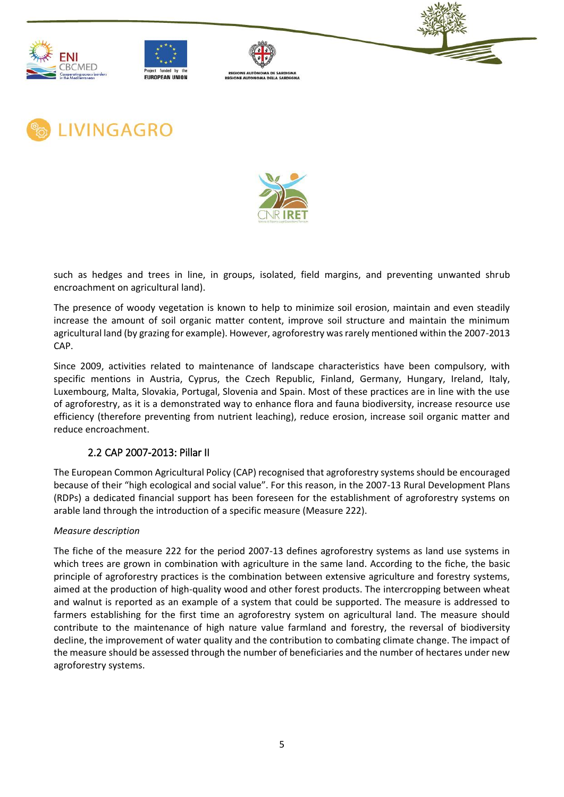











such as hedges and trees in line, in groups, isolated, field margins, and preventing unwanted shrub encroachment on agricultural land).

The presence of woody vegetation is known to help to minimize soil erosion, maintain and even steadily increase the amount of soil organic matter content, improve soil structure and maintain the minimum agricultural land (by grazing for example). However, agroforestry was rarely mentioned within the 2007-2013 CAP.

Since 2009, activities related to maintenance of landscape characteristics have been compulsory, with specific mentions in Austria, Cyprus, the Czech Republic, Finland, Germany, Hungary, Ireland, Italy, Luxembourg, Malta, Slovakia, Portugal, Slovenia and Spain. Most of these practices are in line with the use of agroforestry, as it is a demonstrated way to enhance flora and fauna biodiversity, increase resource use efficiency (therefore preventing from nutrient leaching), reduce erosion, increase soil organic matter and reduce encroachment.

## 2.2 CAP 2007-2013: Pillar II

<span id="page-9-0"></span>The European Common Agricultural Policy (CAP) recognised that agroforestry systems should be encouraged because of their "high ecological and social value". For this reason, in the 2007-13 Rural Development Plans (RDPs) a dedicated financial support has been foreseen for the establishment of agroforestry systems on arable land through the introduction of a specific measure (Measure 222).

#### *Measure description*

The fiche of the measure 222 for the period 2007-13 defines agroforestry systems as land use systems in which trees are grown in combination with agriculture in the same land. According to the fiche, the basic principle of agroforestry practices is the combination between extensive agriculture and forestry systems, aimed at the production of high-quality wood and other forest products. The intercropping between wheat and walnut is reported as an example of a system that could be supported. The measure is addressed to farmers establishing for the first time an agroforestry system on agricultural land. The measure should contribute to the maintenance of high nature value farmland and forestry, the reversal of biodiversity decline, the improvement of water quality and the contribution to combating climate change. The impact of the measure should be assessed through the number of beneficiaries and the number of hectares under new agroforestry systems.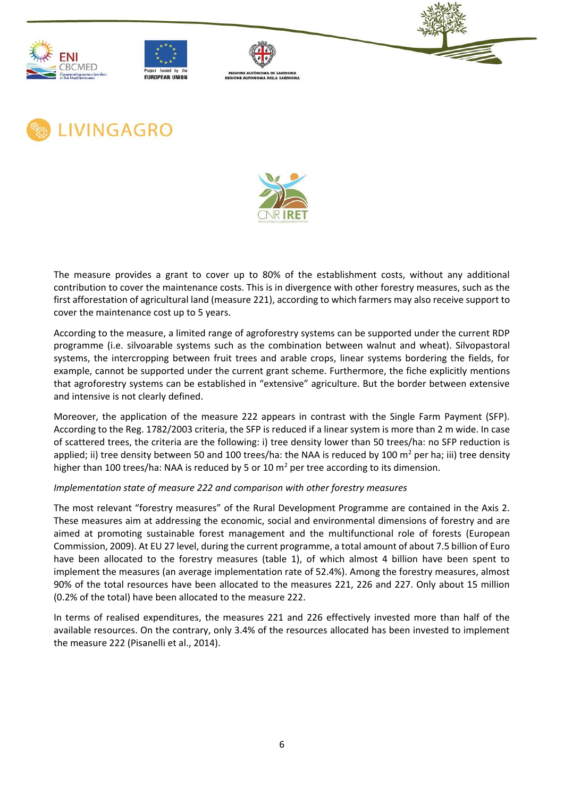











The measure provides a grant to cover up to 80% of the establishment costs, without any additional contribution to cover the maintenance costs. This is in divergence with other forestry measures, such as the first afforestation of agricultural land (measure 221), according to which farmers may also receive support to cover the maintenance cost up to 5 years.

According to the measure, a limited range of agroforestry systems can be supported under the current RDP programme (i.e. silvoarable systems such as the combination between walnut and wheat). Silvopastoral systems, the intercropping between fruit trees and arable crops, linear systems bordering the fields, for example, cannot be supported under the current grant scheme. Furthermore, the fiche explicitly mentions that agroforestry systems can be established in "extensive" agriculture. But the border between extensive and intensive is not clearly defined.

Moreover, the application of the measure 222 appears in contrast with the Single Farm Payment (SFP). According to the Reg. 1782/2003 criteria, the SFP is reduced if a linear system is more than 2 m wide. In case of scattered trees, the criteria are the following: i) tree density lower than 50 trees/ha: no SFP reduction is applied; ii) tree density between 50 and 100 trees/ha: the NAA is reduced by 100  $m^2$  per ha; iii) tree density higher than 100 trees/ha: NAA is reduced by 5 or 10  $\text{m}^2$  per tree according to its dimension.

*Implementation state of measure 222 and comparison with other forestry measures*

The most relevant "forestry measures" of the Rural Development Programme are contained in the Axis 2. These measures aim at addressing the economic, social and environmental dimensions of forestry and are aimed at promoting sustainable forest management and the multifunctional role of forests (European Commission, 2009). At EU 27 level, during the current programme, a total amount of about 7.5 billion of Euro have been allocated to the forestry measures (table 1), of which almost 4 billion have been spent to implement the measures (an average implementation rate of 52.4%). Among the forestry measures, almost 90% of the total resources have been allocated to the measures 221, 226 and 227. Only about 15 million (0.2% of the total) have been allocated to the measure 222.

In terms of realised expenditures, the measures 221 and 226 effectively invested more than half of the available resources. On the contrary, only 3.4% of the resources allocated has been invested to implement the measure 222 (Pisanelli et al., 2014).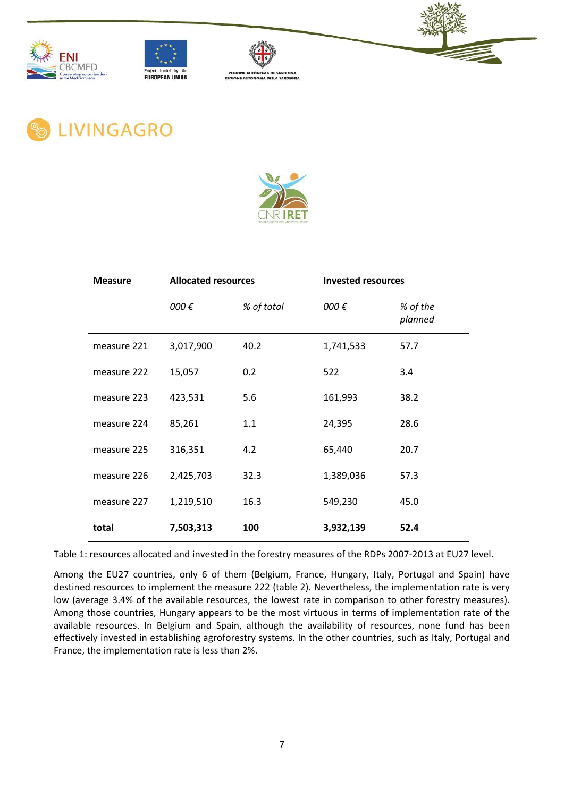







**LIVINGAGRO** 



| <b>Measure</b> | <b>Allocated resources</b> |            | <b>Invested resources</b> |                     |
|----------------|----------------------------|------------|---------------------------|---------------------|
|                | 000€                       | % of total | 000€                      | % of the<br>planned |
| measure 221    | 3,017,900                  | 40.2       | 1,741,533                 | 57.7                |
| measure 222    | 15,057                     | 0.2        | 522                       | 3.4                 |
| measure 223    | 423,531                    | 5.6        | 161,993                   | 38.2                |
| measure 224    | 85,261                     | 1.1        | 24,395                    | 28.6                |
| measure 225    | 316,351                    | 4.2        | 65,440                    | 20.7                |
| measure 226    | 2,425,703                  | 32.3       | 1,389,036                 | 57.3                |
| measure 227    | 1,219,510                  | 16.3       | 549,230                   | 45.0                |
| total          | 7,503,313                  | 100        | 3,932,139                 | 52.4                |

Table 1: resources allocated and invested in the forestry measures of the RDPs 2007-2013 at EU27 level.

Among the EU27 countries, only 6 of them (Belgium, France, Hungary, Italy, Portugal and Spain) have destined resources to implement the measure 222 (table 2). Nevertheless, the implementation rate is very low (average 3.4% of the available resources, the lowest rate in comparison to other forestry measures). Among those countries, Hungary appears to be the most virtuous in terms of implementation rate of the available resources. In Belgium and Spain, although the availability of resources, none fund has been effectively invested in establishing agroforestry systems. In the other countries, such as Italy, Portugal and France, the implementation rate is less than 2%.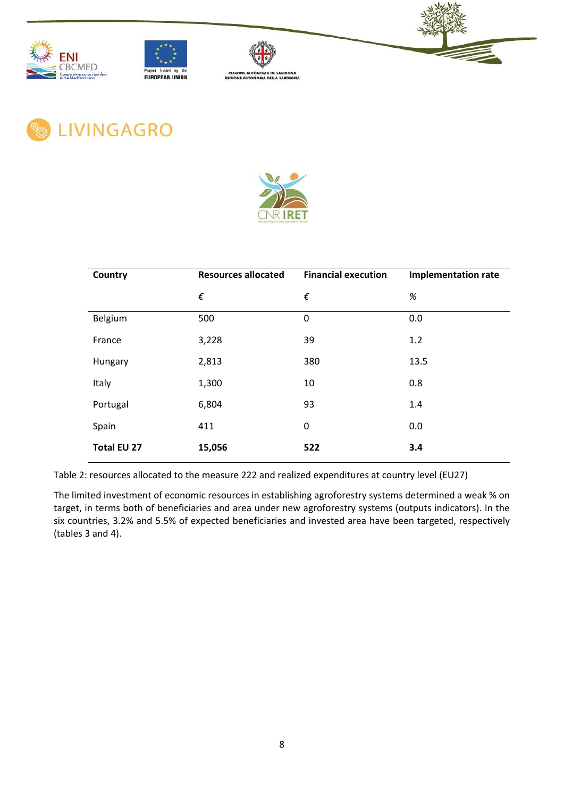











| Country            | <b>Resources allocated</b> | <b>Financial execution</b> | <b>Implementation rate</b> |
|--------------------|----------------------------|----------------------------|----------------------------|
|                    | $\epsilon$                 | $\epsilon$                 | $\%$                       |
| Belgium            | 500                        | $\mathbf 0$                | 0.0                        |
| France             | 3,228                      | 39                         | 1.2                        |
| Hungary            | 2,813                      | 380                        | 13.5                       |
| Italy              | 1,300                      | 10                         | 0.8                        |
| Portugal           | 6,804                      | 93                         | 1.4                        |
| Spain              | 411                        | 0                          | 0.0                        |
| <b>Total EU 27</b> | 15,056                     | 522                        | 3.4                        |

Table 2: resources allocated to the measure 222 and realized expenditures at country level (EU27)

The limited investment of economic resources in establishing agroforestry systems determined a weak % on target, in terms both of beneficiaries and area under new agroforestry systems (outputs indicators). In the six countries, 3.2% and 5.5% of expected beneficiaries and invested area have been targeted, respectively (tables 3 and 4).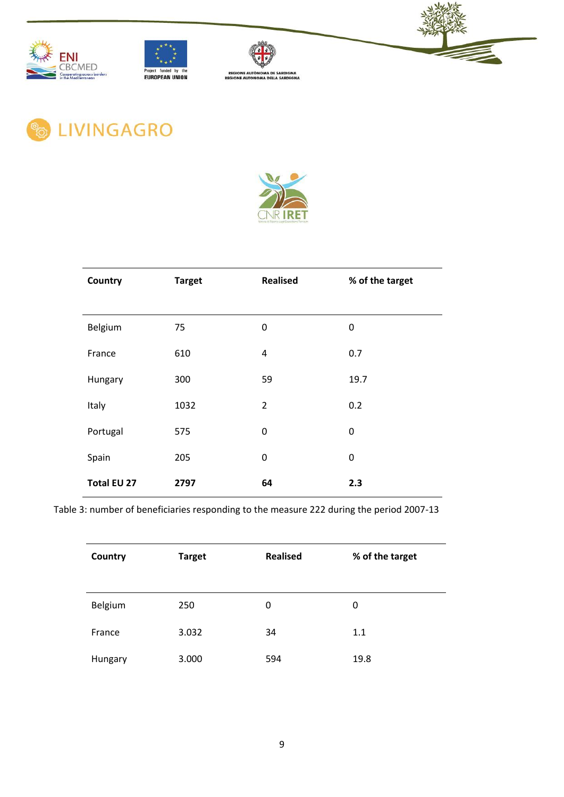







**& LIVINGAGRO** 



| Country            | <b>Target</b> | <b>Realised</b> | % of the target |
|--------------------|---------------|-----------------|-----------------|
|                    |               |                 |                 |
| Belgium            | 75            | 0               | 0               |
| France             | 610           | 4               | 0.7             |
| Hungary            | 300           | 59              | 19.7            |
| Italy              | 1032          | $\overline{2}$  | 0.2             |
| Portugal           | 575           | 0               | $\mathbf 0$     |
| Spain              | 205           | 0               | 0               |
| <b>Total EU 27</b> | 2797          | 64              | 2.3             |

Table 3: number of beneficiaries responding to the measure 222 during the period 2007-13

| Country | <b>Target</b> | <b>Realised</b> | % of the target |
|---------|---------------|-----------------|-----------------|
| Belgium | 250           | 0               | 0               |
| France  | 3.032         | 34              | 1.1             |
| Hungary | 3.000         | 594             | 19.8            |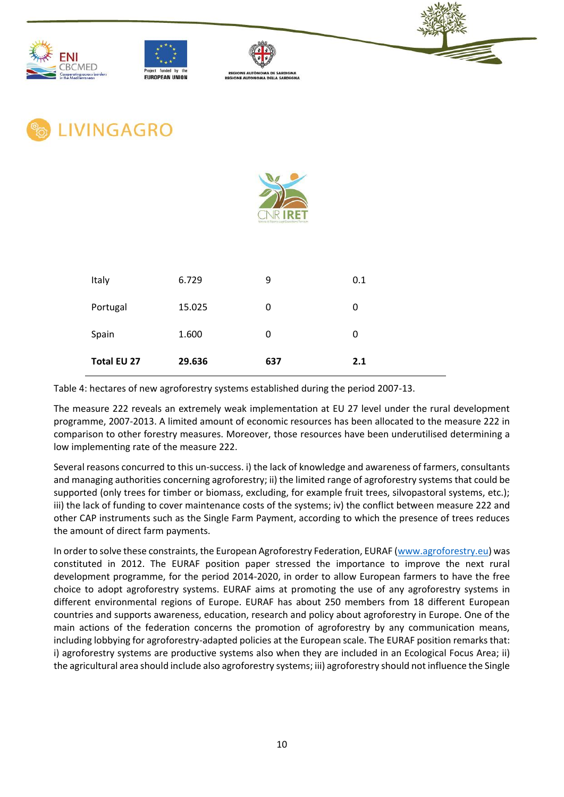











| Italy              | 6.729  | 9   | 0.1 |
|--------------------|--------|-----|-----|
| Portugal           | 15.025 | 0   | 0   |
| Spain              | 1.600  | 0   | 0   |
| <b>Total EU 27</b> | 29.636 | 637 | 2.1 |

Table 4: hectares of new agroforestry systems established during the period 2007-13.

The measure 222 reveals an extremely weak implementation at EU 27 level under the rural development programme, 2007-2013. A limited amount of economic resources has been allocated to the measure 222 in comparison to other forestry measures. Moreover, those resources have been underutilised determining a low implementing rate of the measure 222.

Several reasons concurred to this un-success. i) the lack of knowledge and awareness of farmers, consultants and managing authorities concerning agroforestry; ii) the limited range of agroforestry systems that could be supported (only trees for timber or biomass, excluding, for example fruit trees, silvopastoral systems, etc.); iii) the lack of funding to cover maintenance costs of the systems; iv) the conflict between measure 222 and other CAP instruments such as the Single Farm Payment, according to which the presence of trees reduces the amount of direct farm payments.

In order to solve these constraints, the European Agroforestry Federation, EURAF [\(www.agroforestry.eu\)](http://www.agroforestry.eu/) was constituted in 2012. The EURAF position paper stressed the importance to improve the next rural development programme, for the period 2014-2020, in order to allow European farmers to have the free choice to adopt agroforestry systems. EURAF aims at promoting the use of any agroforestry systems in different environmental regions of Europe. EURAF has about 250 members from 18 different European countries and supports awareness, education, research and policy about agroforestry in Europe. One of the main actions of the federation concerns the promotion of agroforestry by any communication means, including lobbying for agroforestry-adapted policies at the European scale. The EURAF position remarks that: i) agroforestry systems are productive systems also when they are included in an Ecological Focus Area; ii) the agricultural area should include also agroforestry systems; iii) agroforestry should not influence the Single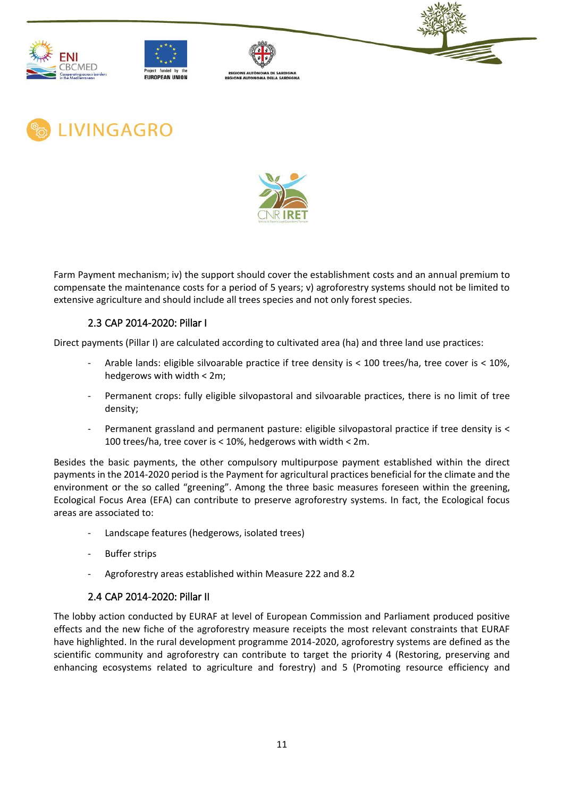











Farm Payment mechanism; iv) the support should cover the establishment costs and an annual premium to compensate the maintenance costs for a period of 5 years; v) agroforestry systems should not be limited to extensive agriculture and should include all trees species and not only forest species.

## 2.3 CAP 2014-2020: Pillar I

<span id="page-15-0"></span>Direct payments (Pillar I) are calculated according to cultivated area (ha) and three land use practices:

- Arable lands: eligible silvoarable practice if tree density is < 100 trees/ha, tree cover is < 10%, hedgerows with width < 2m;
- Permanent crops: fully eligible silvopastoral and silvoarable practices, there is no limit of tree density;
- Permanent grassland and permanent pasture: eligible silvopastoral practice if tree density is < 100 trees/ha, tree cover is < 10%, hedgerows with width < 2m.

Besides the basic payments, the other compulsory multipurpose payment established within the direct payments in the 2014-2020 period is the Payment for agricultural practices beneficial for the climate and the environment or the so called "greening". Among the three basic measures foreseen within the greening, Ecological Focus Area (EFA) can contribute to preserve agroforestry systems. In fact, the Ecological focus areas are associated to:

- Landscape features (hedgerows, isolated trees)
- **Buffer strips**
- Agroforestry areas established within Measure 222 and 8.2

## 2.4 CAP 2014-2020: Pillar II

<span id="page-15-1"></span>The lobby action conducted by EURAF at level of European Commission and Parliament produced positive effects and the new fiche of the agroforestry measure receipts the most relevant constraints that EURAF have highlighted. In the rural development programme 2014-2020, agroforestry systems are defined as the scientific community and agroforestry can contribute to target the priority 4 (Restoring, preserving and enhancing ecosystems related to agriculture and forestry) and 5 (Promoting resource efficiency and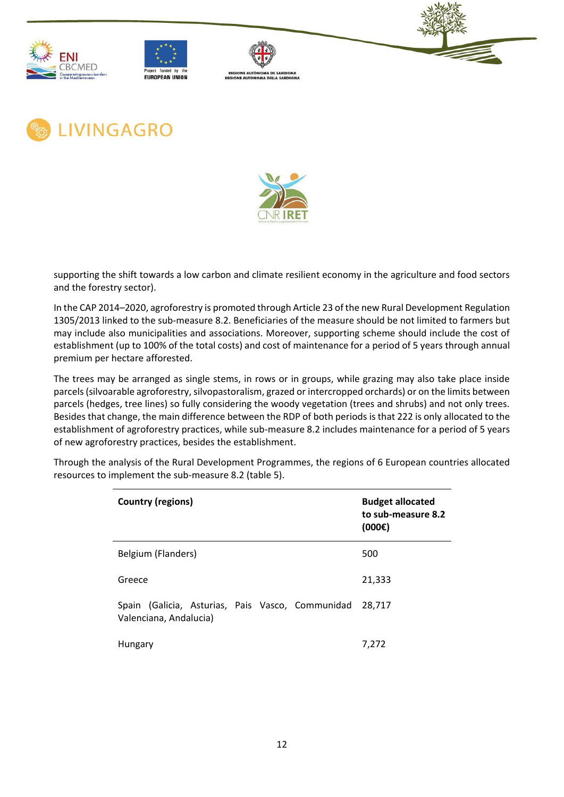











supporting the shift towards a low carbon and climate resilient economy in the agriculture and food sectors and the forestry sector).

In the CAP 2014–2020, agroforestry is promoted through Article 23 of the new Rural Development Regulation 1305/2013 linked to the sub-measure 8.2. Beneficiaries of the measure should be not limited to farmers but may include also municipalities and associations. Moreover, supporting scheme should include the cost of establishment (up to 100% of the total costs) and cost of maintenance for a period of 5 years through annual premium per hectare afforested.

The trees may be arranged as single stems, in rows or in groups, while grazing may also take place inside parcels (silvoarable agroforestry, silvopastoralism, grazed or intercropped orchards) or on the limits between parcels (hedges, tree lines) so fully considering the woody vegetation (trees and shrubs) and not only trees. Besides that change, the main difference between the RDP of both periods is that 222 is only allocated to the establishment of agroforestry practices, while sub-measure 8.2 includes maintenance for a period of 5 years of new agroforestry practices, besides the establishment.

| Country (regions)                                                          | <b>Budget allocated</b><br>to sub-measure 8.2<br>(000) |
|----------------------------------------------------------------------------|--------------------------------------------------------|
| Belgium (Flanders)                                                         | 500                                                    |
| Greece                                                                     | 21,333                                                 |
| Spain (Galicia, Asturias, Pais Vasco, Communidad<br>Valenciana, Andalucia) | 28,717                                                 |
| Hungary                                                                    | 7.272                                                  |

Through the analysis of the Rural Development Programmes, the regions of 6 European countries allocated resources to implement the sub-measure 8.2 (table 5).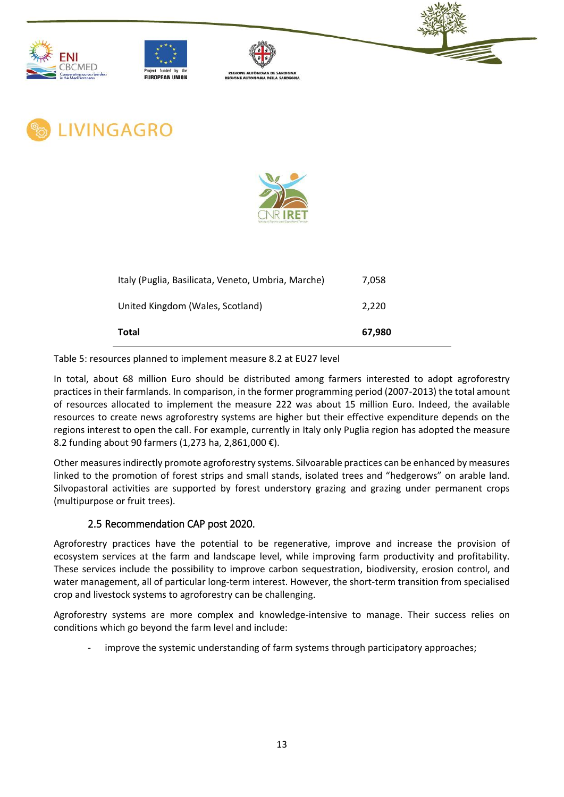











| Italy (Puglia, Basilicata, Veneto, Umbria, Marche) | 7.058  |
|----------------------------------------------------|--------|
| United Kingdom (Wales, Scotland)                   | 2.220  |
| Total                                              | 67.980 |

Table 5: resources planned to implement measure 8.2 at EU27 level

In total, about 68 million Euro should be distributed among farmers interested to adopt agroforestry practices in their farmlands. In comparison, in the former programming period (2007-2013) the total amount of resources allocated to implement the measure 222 was about 15 million Euro. Indeed, the available resources to create news agroforestry systems are higher but their effective expenditure depends on the regions interest to open the call. For example, currently in Italy only Puglia region has adopted the measure 8.2 funding about 90 farmers (1,273 ha, 2,861,000 €).

Other measures indirectly promote agroforestry systems. Silvoarable practices can be enhanced by measures linked to the promotion of forest strips and small stands, isolated trees and "hedgerows" on arable land. Silvopastoral activities are supported by forest understory grazing and grazing under permanent crops (multipurpose or fruit trees).

## 2.5 Recommendation CAP post 2020.

<span id="page-17-0"></span>Agroforestry practices have the potential to be regenerative, improve and increase the provision of ecosystem services at the farm and landscape level, while improving farm productivity and profitability. These services include the possibility to improve carbon sequestration, biodiversity, erosion control, and water management, all of particular long-term interest. However, the short-term transition from specialised crop and livestock systems to agroforestry can be challenging.

Agroforestry systems are more complex and knowledge-intensive to manage. Their success relies on conditions which go beyond the farm level and include:

improve the systemic understanding of farm systems through participatory approaches;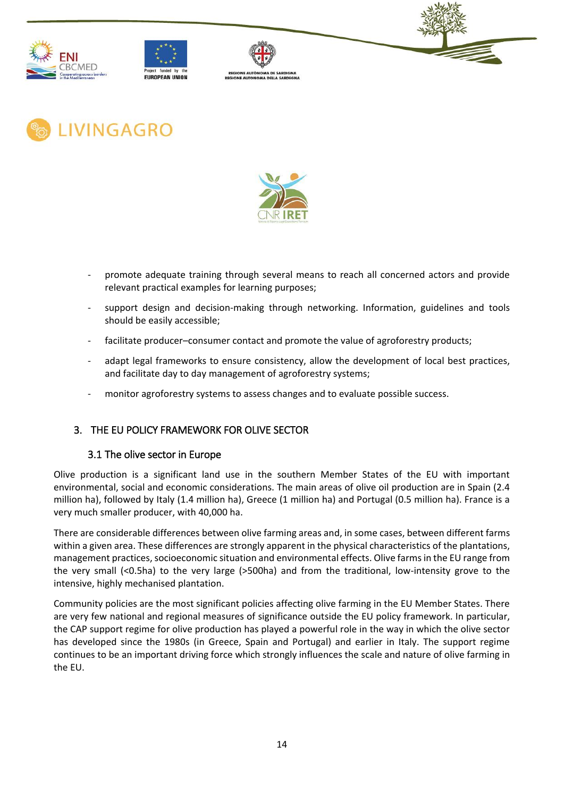











- promote adequate training through several means to reach all concerned actors and provide relevant practical examples for learning purposes;
- support design and decision-making through networking. Information, guidelines and tools should be easily accessible;
- facilitate producer–consumer contact and promote the value of agroforestry products;
- adapt legal frameworks to ensure consistency, allow the development of local best practices, and facilitate day to day management of agroforestry systems;
- monitor agroforestry systems to assess changes and to evaluate possible success.

## <span id="page-18-1"></span><span id="page-18-0"></span>3. THE EU POLICY FRAMEWORK FOR OLIVE SECTOR

#### 3.1 The olive sector in Europe

Olive production is a significant land use in the southern Member States of the EU with important environmental, social and economic considerations. The main areas of olive oil production are in Spain (2.4 million ha), followed by Italy (1.4 million ha), Greece (1 million ha) and Portugal (0.5 million ha). France is a very much smaller producer, with 40,000 ha.

There are considerable differences between olive farming areas and, in some cases, between different farms within a given area. These differences are strongly apparent in the physical characteristics of the plantations, management practices, socioeconomic situation and environmental effects. Olive farms in the EU range from the very small (<0.5ha) to the very large (>500ha) and from the traditional, low-intensity grove to the intensive, highly mechanised plantation.

Community policies are the most significant policies affecting olive farming in the EU Member States. There are very few national and regional measures of significance outside the EU policy framework. In particular, the CAP support regime for olive production has played a powerful role in the way in which the olive sector has developed since the 1980s (in Greece, Spain and Portugal) and earlier in Italy. The support regime continues to be an important driving force which strongly influences the scale and nature of olive farming in the EU.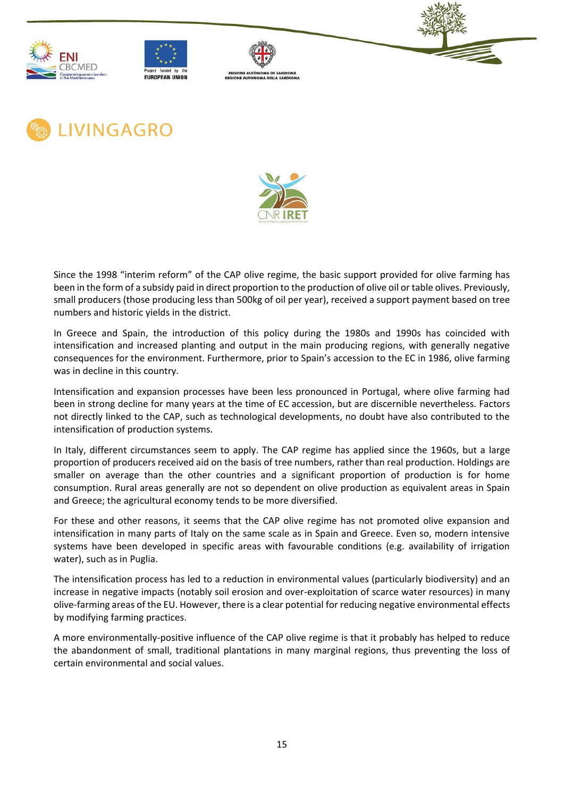











Since the 1998 "interim reform" of the CAP olive regime, the basic support provided for olive farming has been in the form of a subsidy paid in direct proportion to the production of olive oil or table olives. Previously, small producers (those producing less than 500kg of oil per year), received a support payment based on tree numbers and historic yields in the district.

In Greece and Spain, the introduction of this policy during the 1980s and 1990s has coincided with intensification and increased planting and output in the main producing regions, with generally negative consequences for the environment. Furthermore, prior to Spain's accession to the EC in 1986, olive farming was in decline in this country.

Intensification and expansion processes have been less pronounced in Portugal, where olive farming had been in strong decline for many years at the time of EC accession, but are discernible nevertheless. Factors not directly linked to the CAP, such as technological developments, no doubt have also contributed to the intensification of production systems.

In Italy, different circumstances seem to apply. The CAP regime has applied since the 1960s, but a large proportion of producers received aid on the basis of tree numbers, rather than real production. Holdings are smaller on average than the other countries and a significant proportion of production is for home consumption. Rural areas generally are not so dependent on olive production as equivalent areas in Spain and Greece; the agricultural economy tends to be more diversified.

For these and other reasons, it seems that the CAP olive regime has not promoted olive expansion and intensification in many parts of Italy on the same scale as in Spain and Greece. Even so, modern intensive systems have been developed in specific areas with favourable conditions (e.g. availability of irrigation water), such as in Puglia.

The intensification process has led to a reduction in environmental values (particularly biodiversity) and an increase in negative impacts (notably soil erosion and over-exploitation of scarce water resources) in many olive-farming areas of the EU. However, there is a clear potential for reducing negative environmental effects by modifying farming practices.

A more environmentally-positive influence of the CAP olive regime is that it probably has helped to reduce the abandonment of small, traditional plantations in many marginal regions, thus preventing the loss of certain environmental and social values.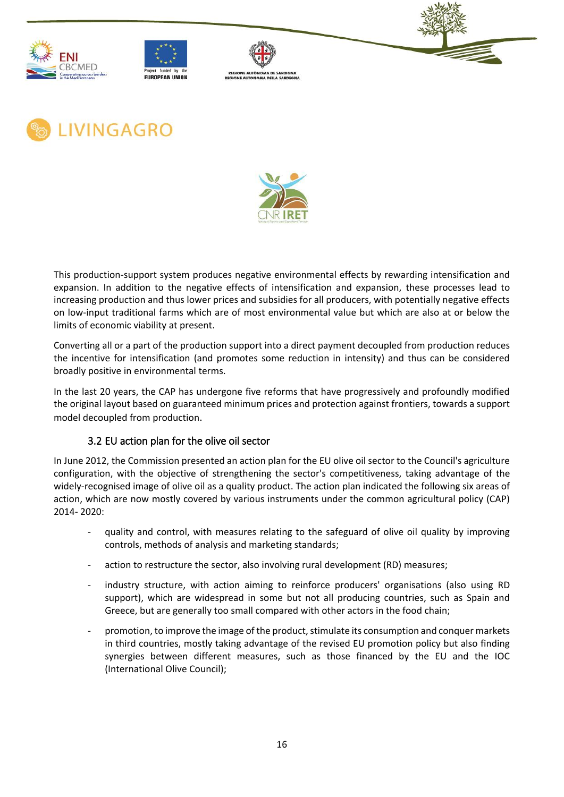











This production-support system produces negative environmental effects by rewarding intensification and expansion. In addition to the negative effects of intensification and expansion, these processes lead to increasing production and thus lower prices and subsidies for all producers, with potentially negative effects on low-input traditional farms which are of most environmental value but which are also at or below the limits of economic viability at present.

Converting all or a part of the production support into a direct payment decoupled from production reduces the incentive for intensification (and promotes some reduction in intensity) and thus can be considered broadly positive in environmental terms.

In the last 20 years, the CAP has undergone five reforms that have progressively and profoundly modified the original layout based on guaranteed minimum prices and protection against frontiers, towards a support model decoupled from production.

# 3.2 EU action plan for the olive oil sector

<span id="page-20-0"></span>In June 2012, the Commission presented an action plan for the EU olive oil sector to the Council's agriculture configuration, with the objective of strengthening the sector's competitiveness, taking advantage of the widely-recognised image of olive oil as a quality product. The action plan indicated the following six areas of action, which are now mostly covered by various instruments under the common agricultural policy (CAP) 2014- 2020:

- quality and control, with measures relating to the safeguard of olive oil quality by improving controls, methods of analysis and marketing standards;
- action to restructure the sector, also involving rural development (RD) measures;
- industry structure, with action aiming to reinforce producers' organisations (also using RD support), which are widespread in some but not all producing countries, such as Spain and Greece, but are generally too small compared with other actors in the food chain;
- promotion, to improve the image of the product, stimulate its consumption and conquer markets in third countries, mostly taking advantage of the revised EU promotion policy but also finding synergies between different measures, such as those financed by the EU and the IOC (International Olive Council);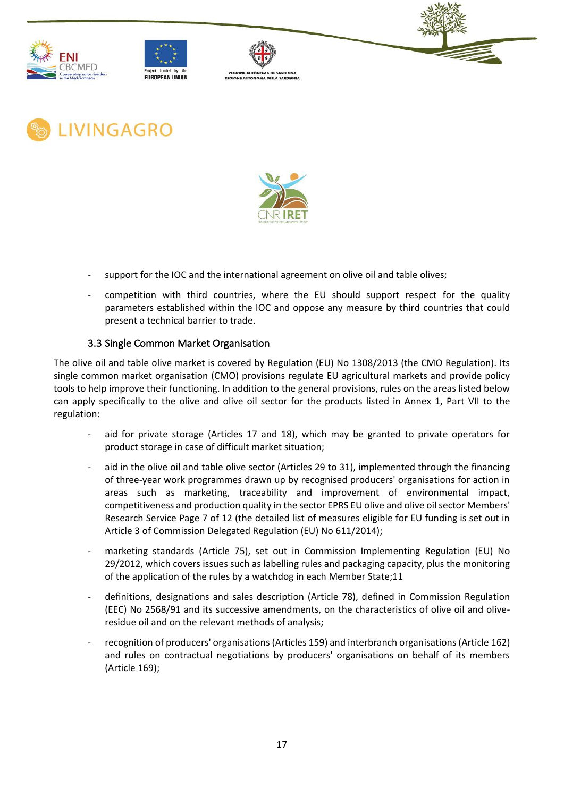











- support for the IOC and the international agreement on olive oil and table olives;
- competition with third countries, where the EU should support respect for the quality parameters established within the IOC and oppose any measure by third countries that could present a technical barrier to trade.

#### 3.3 Single Common Market Organisation

<span id="page-21-0"></span>The olive oil and table olive market is covered by Regulation (EU) No 1308/2013 (the CMO Regulation). Its single common market organisation (CMO) provisions regulate EU agricultural markets and provide policy tools to help improve their functioning. In addition to the general provisions, rules on the areas listed below can apply specifically to the olive and olive oil sector for the products listed in Annex 1, Part VII to the regulation:

- aid for private storage (Articles 17 and 18), which may be granted to private operators for product storage in case of difficult market situation;
- aid in the olive oil and table olive sector (Articles 29 to 31), implemented through the financing of three-year work programmes drawn up by recognised producers' organisations for action in areas such as marketing, traceability and improvement of environmental impact, competitiveness and production quality in the sector EPRS EU olive and olive oil sector Members' Research Service Page 7 of 12 (the detailed list of measures eligible for EU funding is set out in Article 3 of Commission Delegated Regulation (EU) No 611/2014);
- marketing standards (Article 75), set out in Commission Implementing Regulation (EU) No 29/2012, which covers issues such as labelling rules and packaging capacity, plus the monitoring of the application of the rules by a watchdog in each Member State;11
- definitions, designations and sales description (Article 78), defined in Commission Regulation (EEC) No 2568/91 and its successive amendments, on the characteristics of olive oil and oliveresidue oil and on the relevant methods of analysis;
- recognition of producers' organisations (Articles 159) and interbranch organisations (Article 162) and rules on contractual negotiations by producers' organisations on behalf of its members (Article 169);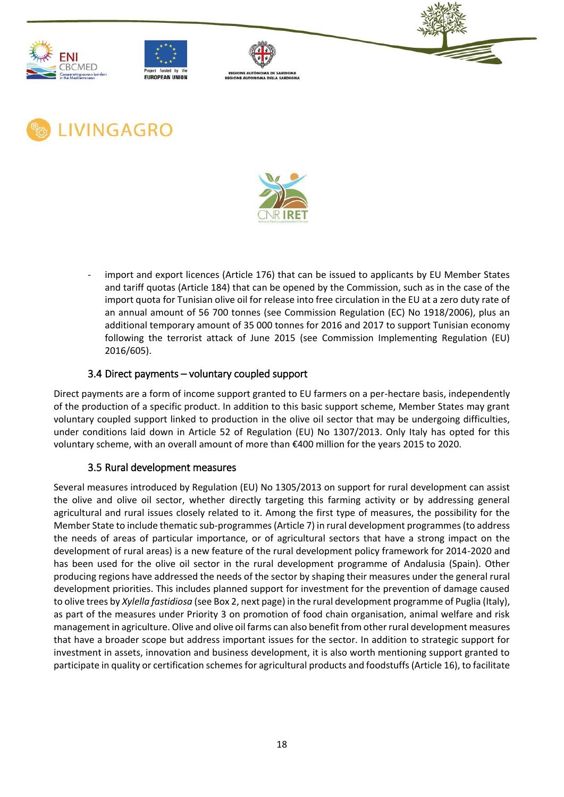











import and export licences (Article 176) that can be issued to applicants by EU Member States and tariff quotas (Article 184) that can be opened by the Commission, such as in the case of the import quota for Tunisian olive oil for release into free circulation in the EU at a zero duty rate of an annual amount of 56 700 tonnes (see Commission Regulation (EC) No 1918/2006), plus an additional temporary amount of 35 000 tonnes for 2016 and 2017 to support Tunisian economy following the terrorist attack of June 2015 (see Commission Implementing Regulation (EU) 2016/605).

## 3.4 Direct payments – voluntary coupled support

<span id="page-22-0"></span>Direct payments are a form of income support granted to EU farmers on a per-hectare basis, independently of the production of a specific product. In addition to this basic support scheme, Member States may grant voluntary coupled support linked to production in the olive oil sector that may be undergoing difficulties, under conditions laid down in Article 52 of Regulation (EU) No 1307/2013. Only Italy has opted for this voluntary scheme, with an overall amount of more than €400 million for the years 2015 to 2020.

## 3.5 Rural development measures

<span id="page-22-1"></span>Several measures introduced by Regulation (EU) No 1305/2013 on support for rural development can assist the olive and olive oil sector, whether directly targeting this farming activity or by addressing general agricultural and rural issues closely related to it. Among the first type of measures, the possibility for the Member State to include thematic sub-programmes (Article 7) in rural development programmes (to address the needs of areas of particular importance, or of agricultural sectors that have a strong impact on the development of rural areas) is a new feature of the rural development policy framework for 2014-2020 and has been used for the olive oil sector in the rural development programme of Andalusia (Spain). Other producing regions have addressed the needs of the sector by shaping their measures under the general rural development priorities. This includes planned support for investment for the prevention of damage caused to olive trees by *Xylella fastidiosa* (see Box 2, next page) in the rural development programme of Puglia (Italy), as part of the measures under Priority 3 on promotion of food chain organisation, animal welfare and risk management in agriculture. Olive and olive oil farms can also benefit from other rural development measures that have a broader scope but address important issues for the sector. In addition to strategic support for investment in assets, innovation and business development, it is also worth mentioning support granted to participate in quality or certification schemes for agricultural products and foodstuffs (Article 16), to facilitate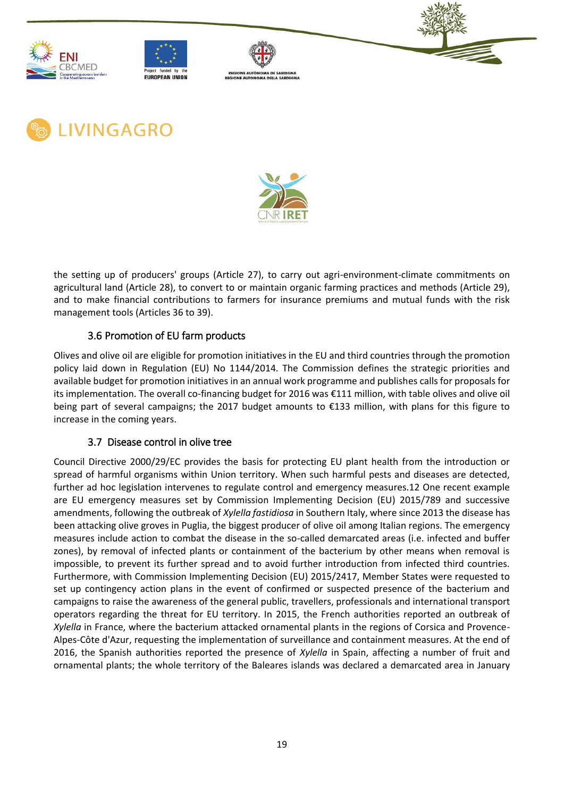











the setting up of producers' groups (Article 27), to carry out agri-environment-climate commitments on agricultural land (Article 28), to convert to or maintain organic farming practices and methods (Article 29), and to make financial contributions to farmers for insurance premiums and mutual funds with the risk management tools (Articles 36 to 39).

# 3.6 Promotion of EU farm products

<span id="page-23-0"></span>Olives and olive oil are eligible for promotion initiatives in the EU and third countries through the promotion policy laid down in Regulation (EU) No 1144/2014. The Commission defines the strategic priorities and available budget for promotion initiatives in an annual work programme and publishes calls for proposals for its implementation. The overall co-financing budget for 2016 was €111 million, with table olives and olive oil being part of several campaigns; the 2017 budget amounts to €133 million, with plans for this figure to increase in the coming years.

# <span id="page-23-1"></span>3.7 Disease control in olive tree

Council Directive 2000/29/EC provides the basis for protecting EU plant health from the introduction or spread of harmful organisms within Union territory. When such harmful pests and diseases are detected, further ad hoc legislation intervenes to regulate control and emergency measures.12 One recent example are EU emergency measures set by Commission Implementing Decision (EU) 2015/789 and successive amendments, following the outbreak of *Xylella fastidiosa* in Southern Italy, where since 2013 the disease has been attacking olive groves in Puglia, the biggest producer of olive oil among Italian regions. The emergency measures include action to combat the disease in the so-called demarcated areas (i.e. infected and buffer zones), by removal of infected plants or containment of the bacterium by other means when removal is impossible, to prevent its further spread and to avoid further introduction from infected third countries. Furthermore, with Commission Implementing Decision (EU) 2015/2417, Member States were requested to set up contingency action plans in the event of confirmed or suspected presence of the bacterium and campaigns to raise the awareness of the general public, travellers, professionals and international transport operators regarding the threat for EU territory. In 2015, the French authorities reported an outbreak of *Xylella* in France, where the bacterium attacked ornamental plants in the regions of Corsica and Provence-Alpes-Côte d'Azur, requesting the implementation of surveillance and containment measures. At the end of 2016, the Spanish authorities reported the presence of *Xylella* in Spain, affecting a number of fruit and ornamental plants; the whole territory of the Baleares islands was declared a demarcated area in January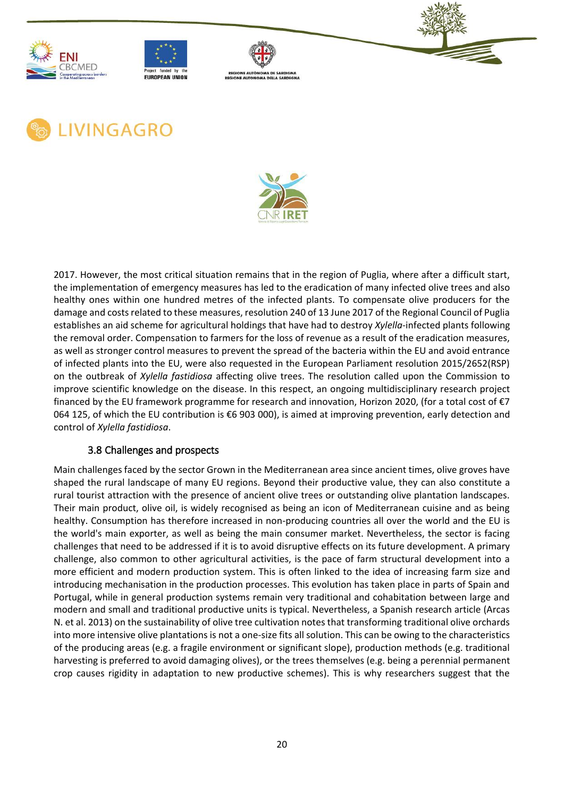











2017. However, the most critical situation remains that in the region of Puglia, where after a difficult start, the implementation of emergency measures has led to the eradication of many infected olive trees and also healthy ones within one hundred metres of the infected plants. To compensate olive producers for the damage and costs related to these measures, resolution 240 of 13 June 2017 of the Regional Council of Puglia establishes an aid scheme for agricultural holdings that have had to destroy *Xylella*-infected plants following the removal order. Compensation to farmers for the loss of revenue as a result of the eradication measures, as well as stronger control measures to prevent the spread of the bacteria within the EU and avoid entrance of infected plants into the EU, were also requested in the European Parliament resolution 2015/2652(RSP) on the outbreak of *Xylella fastidiosa* affecting olive trees. The resolution called upon the Commission to improve scientific knowledge on the disease. In this respect, an ongoing multidisciplinary research project financed by the EU framework programme for research and innovation, Horizon 2020, (for a total cost of €7 064 125, of which the EU contribution is €6 903 000), is aimed at improving prevention, early detection and control of *Xylella fastidiosa*.

## 3.8 Challenges and prospects

<span id="page-24-0"></span>Main challenges faced by the sector Grown in the Mediterranean area since ancient times, olive groves have shaped the rural landscape of many EU regions. Beyond their productive value, they can also constitute a rural tourist attraction with the presence of ancient olive trees or outstanding olive plantation landscapes. Their main product, olive oil, is widely recognised as being an icon of Mediterranean cuisine and as being healthy. Consumption has therefore increased in non-producing countries all over the world and the EU is the world's main exporter, as well as being the main consumer market. Nevertheless, the sector is facing challenges that need to be addressed if it is to avoid disruptive effects on its future development. A primary challenge, also common to other agricultural activities, is the pace of farm structural development into a more efficient and modern production system. This is often linked to the idea of increasing farm size and introducing mechanisation in the production processes. This evolution has taken place in parts of Spain and Portugal, while in general production systems remain very traditional and cohabitation between large and modern and small and traditional productive units is typical. Nevertheless, a Spanish research article (Arcas N. et al. 2013) on the sustainability of olive tree cultivation notes that transforming traditional olive orchards into more intensive olive plantations is not a one-size fits all solution. This can be owing to the characteristics of the producing areas (e.g. a fragile environment or significant slope), production methods (e.g. traditional harvesting is preferred to avoid damaging olives), or the trees themselves (e.g. being a perennial permanent crop causes rigidity in adaptation to new productive schemes). This is why researchers suggest that the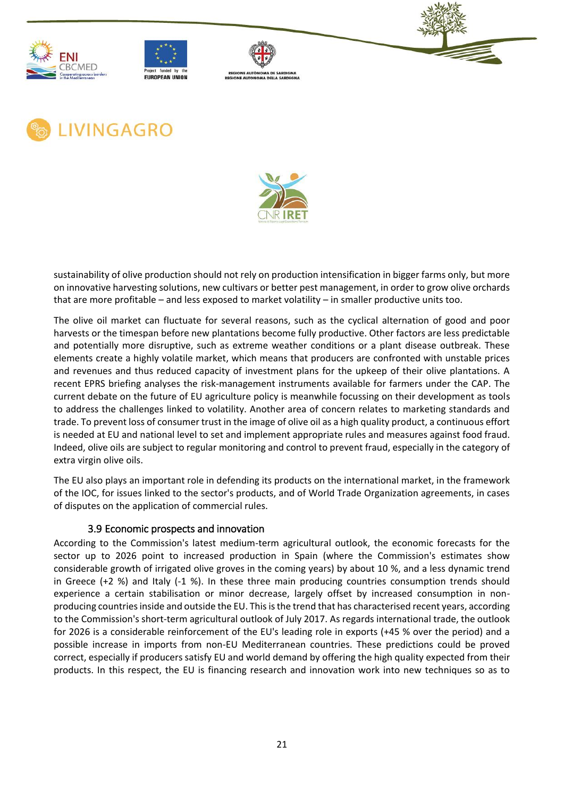











sustainability of olive production should not rely on production intensification in bigger farms only, but more on innovative harvesting solutions, new cultivars or better pest management, in order to grow olive orchards that are more profitable – and less exposed to market volatility – in smaller productive units too.

The olive oil market can fluctuate for several reasons, such as the cyclical alternation of good and poor harvests or the timespan before new plantations become fully productive. Other factors are less predictable and potentially more disruptive, such as extreme weather conditions or a plant disease outbreak. These elements create a highly volatile market, which means that producers are confronted with unstable prices and revenues and thus reduced capacity of investment plans for the upkeep of their olive plantations. A recent [EPRS briefing](https://www.europarl.europa.eu/RegData/etudes/BRIE/2016/593484/EPRS_BRI(2016)593484_EN.pdf) analyses the risk-management instruments available for farmers under the CAP. The current debate on the future of EU agriculture policy is meanwhile focussing on their development as tools to address the challenges linked to volatility. Another area of concern relates to marketing standards and trade. To prevent loss of consumer trust in the image of olive oil as a high quality product, a continuous effort is needed at EU and national level to set and implement appropriate rules and measures against food fraud. Indeed, olive oils are subject to regular monitoring and control to prevent fraud, especially in the category of extra virgin olive oils.

The EU also plays an important role in defending its products on the international market, in the framework of the IOC, for issues linked to the sector's products, and of World Trade Organization agreements, in cases of disputes on the application of commercial rules.

#### 3.9 Economic prospects and innovation

<span id="page-25-0"></span>According to the Commission's latest medium-term agricultural outlook, the economic forecasts for the sector up to 2026 point to increased production in Spain (where the Commission's estimates show considerable growth of irrigated olive groves in the coming years) by about 10 %, and a less dynamic trend in Greece (+2 %) and Italy (-1 %). In these three main producing countries consumption trends should experience a certain stabilisation or minor decrease, largely offset by increased consumption in nonproducing countries inside and outside the EU. This is the trend that has characterised recent years, according to the Commission's short-term agricultural outlook of July 2017. As regards international trade, the outlook for 2026 is a considerable reinforcement of the EU's leading role in exports (+45 % over the period) and a possible increase in imports from non-EU Mediterranean countries. These predictions could be proved correct, especially if producers satisfy EU and world demand by offering the high quality expected from their products. In this respect, the EU is financing research and innovation work into new techniques so as to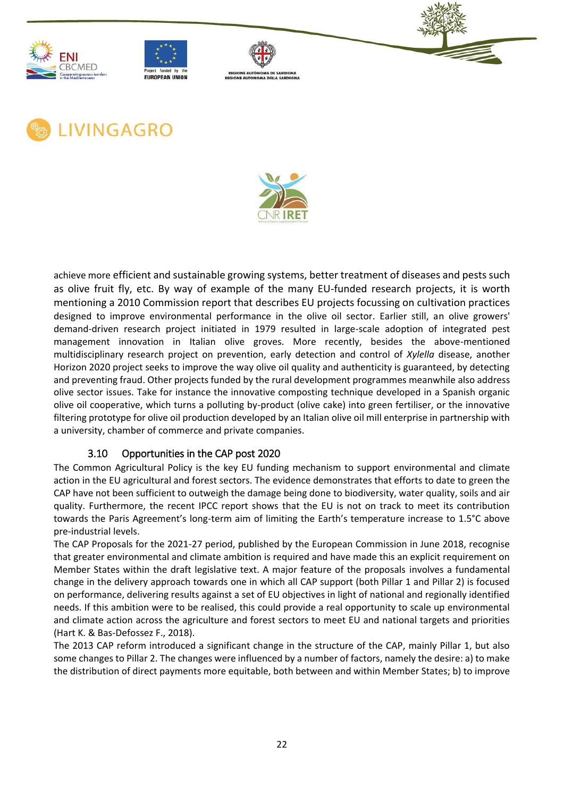











achieve more efficient and sustainable growing systems, better treatment of diseases and pests such as olive fruit fly, etc. By way of example of the many EU-funded research projects, it is worth mentioning a 2010 Commission report that describes EU projects focussing on cultivation practices designed to improve environmental performance in the olive oil sector. Earlier still, an olive growers' demand-driven research project initiated in 1979 resulted in large-scale adoption of integrated pest management innovation in Italian olive groves. More recently, besides the above-mentioned multidisciplinary research project on prevention, early detection and control of *Xylella* disease, another Horizon 2020 project seeks to improve the way olive oil quality and authenticity is guaranteed, by detecting and preventing fraud. Other projects funded by the rural development programmes meanwhile also address olive sector issues. Take for instance the innovative composting technique developed in a Spanish organic olive oil cooperative, which turns a polluting by-product (olive cake) into green fertiliser, or the innovative filtering prototype for olive oil production developed by an Italian olive oil mill enterprise in partnership with a university, chamber of commerce and private companies.

# 3.10 Opportunities in the CAP post 2020

<span id="page-26-0"></span>The Common Agricultural Policy is the key EU funding mechanism to support environmental and climate action in the EU agricultural and forest sectors. The evidence demonstrates that efforts to date to green the CAP have not been sufficient to outweigh the damage being done to biodiversity, water quality, soils and air quality. Furthermore, the recent IPCC report shows that the EU is not on track to meet its contribution towards the Paris Agreement's long-term aim of limiting the Earth's temperature increase to 1.5°C above pre-industrial levels.

The CAP Proposals for the 2021-27 period, published by the European Commission in June 2018, recognise that greater environmental and climate ambition is required and have made this an explicit requirement on Member States within the draft legislative text. A major feature of the proposals involves a fundamental change in the delivery approach towards one in which all CAP support (both Pillar 1 and Pillar 2) is focused on performance, delivering results against a set of EU objectives in light of national and regionally identified needs. If this ambition were to be realised, this could provide a real opportunity to scale up environmental and climate action across the agriculture and forest sectors to meet EU and national targets and priorities (Hart K. & Bas-Defossez F., 2018).

The 2013 CAP reform introduced a significant change in the structure of the CAP, mainly Pillar 1, but also some changes to Pillar 2. The changes were influenced by a number of factors, namely the desire: a) to make the distribution of direct payments more equitable, both between and within Member States; b) to improve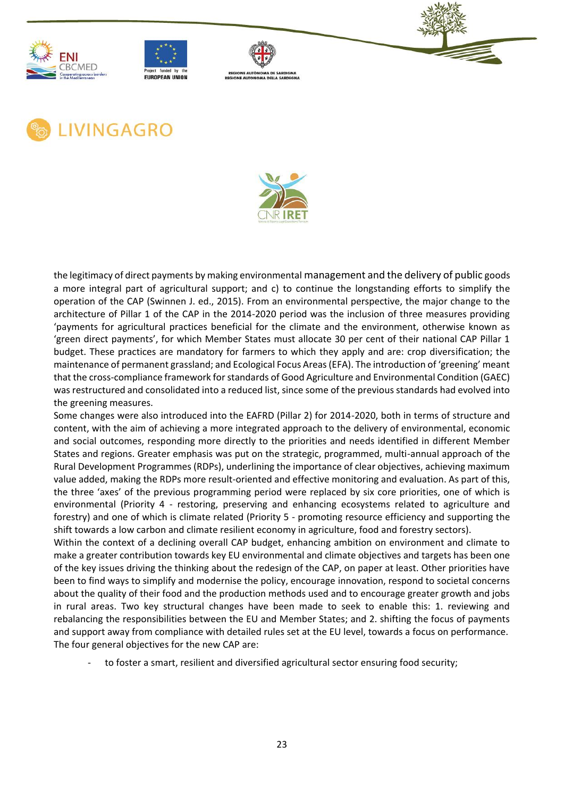











the legitimacy of direct payments by making environmental management and the delivery of public goods a more integral part of agricultural support; and c) to continue the longstanding efforts to simplify the operation of the CAP (Swinnen J. ed., 2015). From an environmental perspective, the major change to the architecture of Pillar 1 of the CAP in the 2014-2020 period was the inclusion of three measures providing 'payments for agricultural practices beneficial for the climate and the environment, otherwise known as 'green direct payments', for which Member States must allocate 30 per cent of their national CAP Pillar 1 budget. These practices are mandatory for farmers to which they apply and are: crop diversification; the maintenance of permanent grassland; and Ecological Focus Areas (EFA). The introduction of 'greening' meant that the cross-compliance framework for standards of Good Agriculture and Environmental Condition (GAEC) was restructured and consolidated into a reduced list, since some of the previous standards had evolved into the greening measures.

Some changes were also introduced into the EAFRD (Pillar 2) for 2014-2020, both in terms of structure and content, with the aim of achieving a more integrated approach to the delivery of environmental, economic and social outcomes, responding more directly to the priorities and needs identified in different Member States and regions. Greater emphasis was put on the strategic, programmed, multi-annual approach of the Rural Development Programmes (RDPs), underlining the importance of clear objectives, achieving maximum value added, making the RDPs more result-oriented and effective monitoring and evaluation. As part of this, the three 'axes' of the previous programming period were replaced by six core priorities, one of which is environmental (Priority 4 - restoring, preserving and enhancing ecosystems related to agriculture and forestry) and one of which is climate related (Priority 5 - promoting resource efficiency and supporting the shift towards a low carbon and climate resilient economy in agriculture, food and forestry sectors).

Within the context of a declining overall CAP budget, enhancing ambition on environment and climate to make a greater contribution towards key EU environmental and climate objectives and targets has been one of the key issues driving the thinking about the redesign of the CAP, on paper at least. Other priorities have been to find ways to simplify and modernise the policy, encourage innovation, respond to societal concerns about the quality of their food and the production methods used and to encourage greater growth and jobs in rural areas. Two key structural changes have been made to seek to enable this: 1. reviewing and rebalancing the responsibilities between the EU and Member States; and 2. shifting the focus of payments and support away from compliance with detailed rules set at the EU level, towards a focus on performance. The four general objectives for the new CAP are:

to foster a smart, resilient and diversified agricultural sector ensuring food security;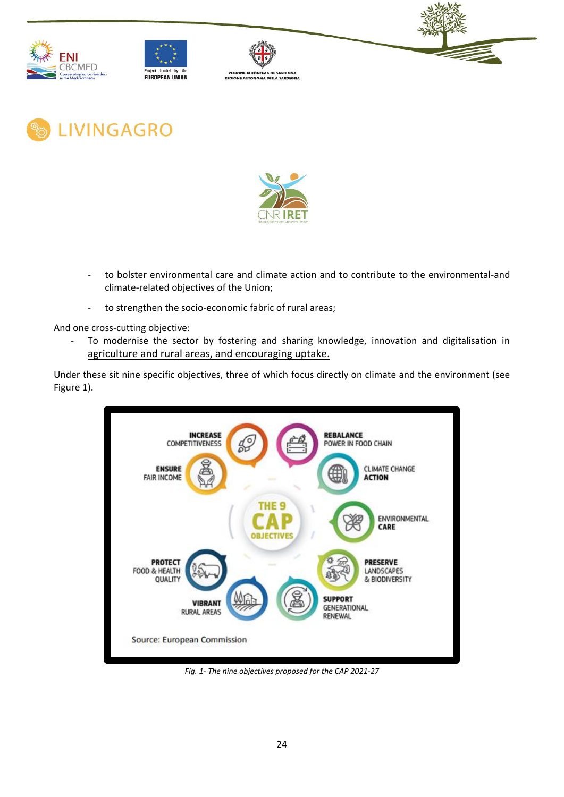







**LIVINGAGRO** 



- to bolster environmental care and climate action and to contribute to the environmental-and climate-related objectives of the Union;
- to strengthen the socio-economic fabric of rural areas;

And one cross-cutting objective:

- To modernise the sector by fostering and sharing knowledge, innovation and digitalisation in agriculture and rural areas, and encouraging uptake.

Under these sit nine specific objectives, three of which focus directly on climate and the environment (see Figure 1).



*Fig. 1- The nine objectives proposed for the CAP 2021-27*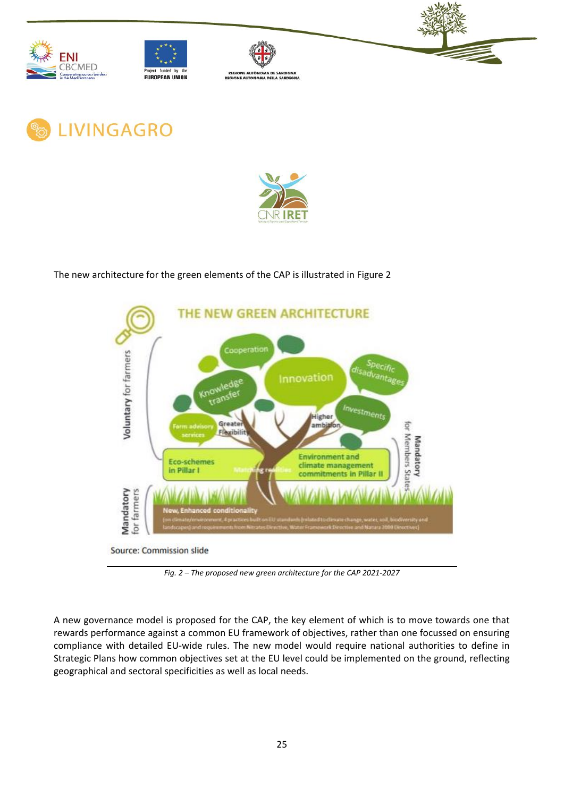











The new architecture for the green elements of the CAP is illustrated in Figure 2



*Fig. 2 – The proposed new green architecture for the CAP 2021-2027*

A new governance model is proposed for the CAP, the key element of which is to move towards one that rewards performance against a common EU framework of objectives, rather than one focussed on ensuring compliance with detailed EU-wide rules. The new model would require national authorities to define in Strategic Plans how common objectives set at the EU level could be implemented on the ground, reflecting geographical and sectoral specificities as well as local needs.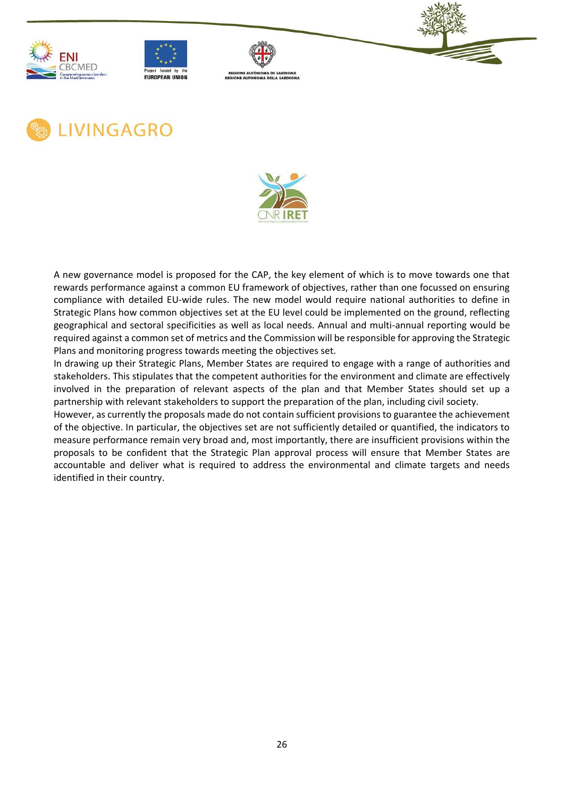











A new governance model is proposed for the CAP, the key element of which is to move towards one that rewards performance against a common EU framework of objectives, rather than one focussed on ensuring compliance with detailed EU-wide rules. The new model would require national authorities to define in Strategic Plans how common objectives set at the EU level could be implemented on the ground, reflecting geographical and sectoral specificities as well as local needs. Annual and multi-annual reporting would be required against a common set of metrics and the Commission will be responsible for approving the Strategic Plans and monitoring progress towards meeting the objectives set.

In drawing up their Strategic Plans, Member States are required to engage with a range of authorities and stakeholders. This stipulates that the competent authorities for the environment and climate are effectively involved in the preparation of relevant aspects of the plan and that Member States should set up a partnership with relevant stakeholders to support the preparation of the plan, including civil society.

However, as currently the proposals made do not contain sufficient provisions to guarantee the achievement of the objective. In particular, the objectives set are not sufficiently detailed or quantified, the indicators to measure performance remain very broad and, most importantly, there are insufficient provisions within the proposals to be confident that the Strategic Plan approval process will ensure that Member States are accountable and deliver what is required to address the environmental and climate targets and needs identified in their country.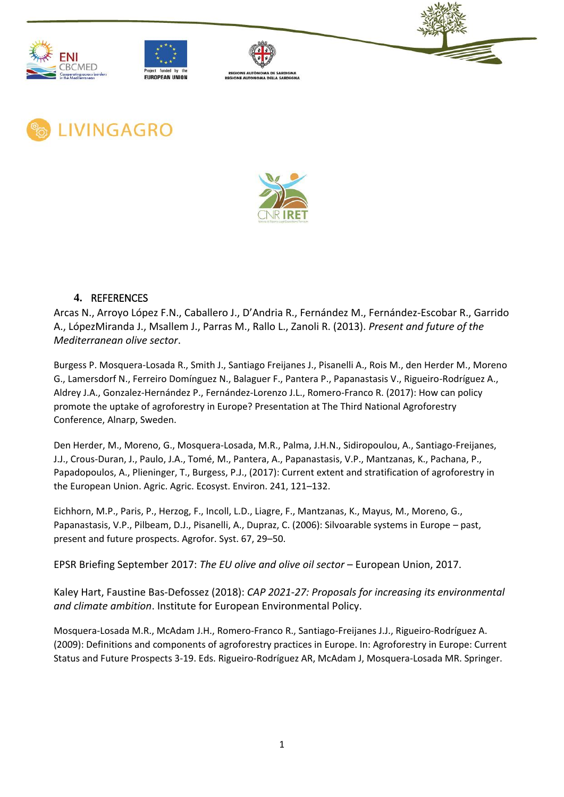











## <span id="page-31-0"></span>**4.** REFERENCES

Arcas N., Arroyo López F.N., Caballero J., D'Andria R., Fernández M., Fernández-Escobar R., Garrido A., LópezMiranda J., Msallem J., Parras M., Rallo L., Zanoli R. (2013). *Present and future of the Mediterranean olive sector*.

Burgess P. Mosquera-Losada R., Smith J., Santiago Freijanes J., Pisanelli A., Rois M., den Herder M., Moreno G., Lamersdorf N., Ferreiro Domínguez N., Balaguer F., Pantera P., Papanastasis V., Rigueiro-Rodríguez A., Aldrey J.A., Gonzalez-Hernández P., Fernández-Lorenzo J.L., Romero-Franco R. (2017): How can policy promote the uptake of agroforestry in Europe? Presentation at The Third National Agroforestry Conference, Alnarp, Sweden.

Den Herder, M., Moreno, G., Mosquera-Losada, M.R., Palma, J.H.N., Sidiropoulou, A., Santiago-Freijanes, J.J., Crous-Duran, J., Paulo, J.A., Tomé, M., Pantera, A., Papanastasis, V.P., Mantzanas, K., Pachana, P., Papadopoulos, A., Plieninger, T., Burgess, P.J., (2017): Current extent and stratification of agroforestry in the European Union. Agric. Agric. Ecosyst. Environ. 241, 121–132.

Eichhorn, M.P., Paris, P., Herzog, F., Incoll, L.D., Liagre, F., Mantzanas, K., Mayus, M., Moreno, G., Papanastasis, V.P., Pilbeam, D.J., Pisanelli, A., Dupraz, C. (2006): Silvoarable systems in Europe – past, present and future prospects. Agrofor. Syst. 67, 29–50.

EPSR Briefing September 2017: *The EU olive and olive oil sector* – European Union, 2017.

Kaley Hart, Faustine Bas-Defossez (2018): *CAP 2021-27: Proposals for increasing its environmental and climate ambition*. Institute for European Environmental Policy.

Mosquera-Losada M.R., McAdam J.H., Romero-Franco R., Santiago-Freijanes J.J., Rigueiro-Rodríguez A. (2009): Definitions and components of agroforestry practices in Europe. In: Agroforestry in Europe: Current Status and Future Prospects 3-19. Eds. Rigueiro-Rodríguez AR, McAdam J, Mosquera-Losada MR. Springer.